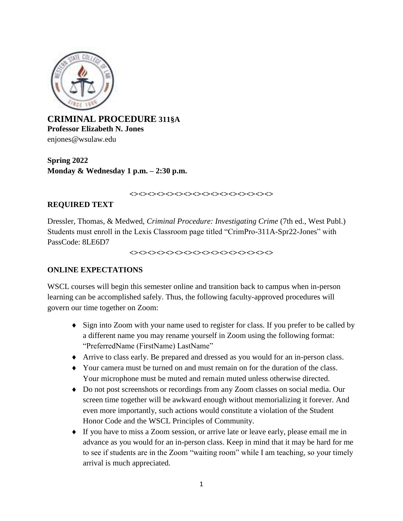

**CRIMINAL PROCEDURE 311§A Professor Elizabeth N. Jones**  enjones@wsulaw.edu

**Spring 2022 Monday & Wednesday 1 p.m. – 2:30 p.m.**

#### **<><><><><><><><><><><><><><><><>**

### **REQUIRED TEXT**

Dressler, Thomas, & Medwed, *Criminal Procedure: Investigating Crime* (7th ed., West Publ.) Students must enroll in the Lexis Classroom page titled "CrimPro-311A-Spr22-Jones" with PassCode: 8LE6D7

**<><><><><><><><><><><><><><><><>**

# **ONLINE EXPECTATIONS**

WSCL courses will begin this semester online and transition back to campus when in-person learning can be accomplished safely. Thus, the following faculty-approved procedures will govern our time together on Zoom:

- Sign into Zoom with your name used to register for class. If you prefer to be called by a different name you may rename yourself in Zoom using the following format: "PreferredName (FirstName) LastName"
- Arrive to class early. Be prepared and dressed as you would for an in-person class.
- Your camera must be turned on and must remain on for the duration of the class. Your microphone must be muted and remain muted unless otherwise directed.
- Do not post screenshots or recordings from any Zoom classes on social media. Our screen time together will be awkward enough without memorializing it forever. And even more importantly, such actions would constitute a violation of the Student Honor Code and the WSCL Principles of Community.
- If you have to miss a Zoom session, or arrive late or leave early, please email me in advance as you would for an in-person class. Keep in mind that it may be hard for me to see if students are in the Zoom "waiting room" while I am teaching, so your timely arrival is much appreciated.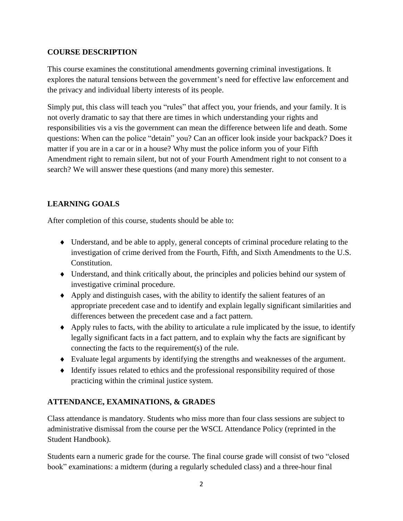# **COURSE DESCRIPTION**

This course examines the constitutional amendments governing criminal investigations. It explores the natural tensions between the government's need for effective law enforcement and the privacy and individual liberty interests of its people.

Simply put, this class will teach you "rules" that affect you, your friends, and your family. It is not overly dramatic to say that there are times in which understanding your rights and responsibilities vis a vis the government can mean the difference between life and death. Some questions: When can the police "detain" you? Can an officer look inside your backpack? Does it matter if you are in a car or in a house? Why must the police inform you of your Fifth Amendment right to remain silent, but not of your Fourth Amendment right to not consent to a search? We will answer these questions (and many more) this semester.

# **LEARNING GOALS**

After completion of this course, students should be able to:

- Understand, and be able to apply, general concepts of criminal procedure relating to the investigation of crime derived from the Fourth, Fifth, and Sixth Amendments to the U.S. Constitution.
- Understand, and think critically about, the principles and policies behind our system of investigative criminal procedure.
- Apply and distinguish cases, with the ability to identify the salient features of an appropriate precedent case and to identify and explain legally significant similarities and differences between the precedent case and a fact pattern.
- Apply rules to facts, with the ability to articulate a rule implicated by the issue, to identify legally significant facts in a fact pattern, and to explain why the facts are significant by connecting the facts to the requirement(s) of the rule.
- Evaluate legal arguments by identifying the strengths and weaknesses of the argument.
- $\blacklozenge$  Identify issues related to ethics and the professional responsibility required of those practicing within the criminal justice system.

# **ATTENDANCE, EXAMINATIONS, & GRADES**

Class attendance is mandatory. Students who miss more than four class sessions are subject to administrative dismissal from the course per the WSCL Attendance Policy (reprinted in the Student Handbook).

Students earn a numeric grade for the course. The final course grade will consist of two "closed book" examinations: a midterm (during a regularly scheduled class) and a three-hour final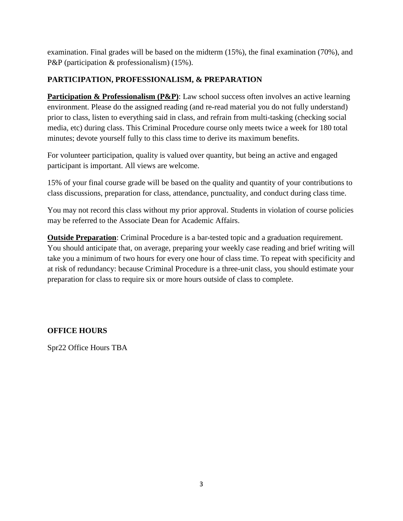examination. Final grades will be based on the midterm (15%), the final examination (70%), and P&P (participation & professionalism) (15%).

# **PARTICIPATION, PROFESSIONALISM, & PREPARATION**

**Participation & Professionalism (P&P)**: Law school success often involves an active learning environment. Please do the assigned reading (and re-read material you do not fully understand) prior to class, listen to everything said in class, and refrain from multi-tasking (checking social media, etc) during class. This Criminal Procedure course only meets twice a week for 180 total minutes; devote yourself fully to this class time to derive its maximum benefits.

For volunteer participation, quality is valued over quantity, but being an active and engaged participant is important. All views are welcome.

15% of your final course grade will be based on the quality and quantity of your contributions to class discussions, preparation for class, attendance, punctuality, and conduct during class time.

You may not record this class without my prior approval. Students in violation of course policies may be referred to the Associate Dean for Academic Affairs.

**Outside Preparation**: Criminal Procedure is a bar-tested topic and a graduation requirement. You should anticipate that, on average, preparing your weekly case reading and brief writing will take you a minimum of two hours for every one hour of class time. To repeat with specificity and at risk of redundancy: because Criminal Procedure is a three-unit class, you should estimate your preparation for class to require six or more hours outside of class to complete.

# **OFFICE HOURS**

Spr22 Office Hours TBA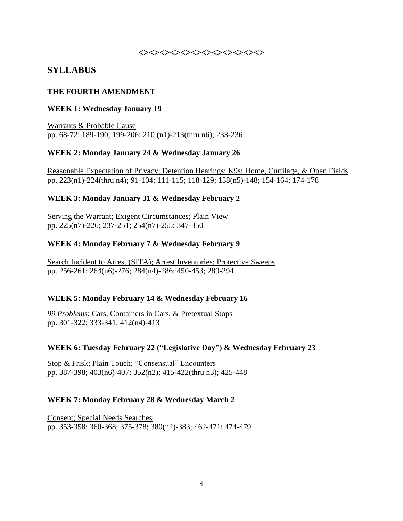#### **<><><><><><><><><><><><>**

# **SYLLABUS**

#### **THE FOURTH AMENDMENT**

#### **WEEK 1: Wednesday January 19**

Warrants & Probable Cause pp. 68-72; 189-190; 199-206; 210 (n1)-213(thru n6); 233-236

#### **WEEK 2: Monday January 24 & Wednesday January 26**

Reasonable Expectation of Privacy; Detention Hearings; K9s; Home, Curtilage, & Open Fields pp. 223(n1)-224(thru n4); 91-104; 111-115; 118-129; 138(n5)-148; 154-164; 174-178

#### **WEEK 3: Monday January 31 & Wednesday February 2**

Serving the Warrant; Exigent Circumstances; Plain View pp. 225(n7)-226; 237-251; 254(n7)-255; 347-350

#### **WEEK 4: Monday February 7 & Wednesday February 9**

Search Incident to Arrest (SITA); Arrest Inventories; Protective Sweeps pp. 256-261; 264(n6)-276; 284(n4)-286; 450-453; 289-294

#### **WEEK 5: Monday February 14 & Wednesday February 16**

*99 Problems*: Cars, Containers in Cars, & Pretextual Stops pp. 301-322; 333-341; 412(n4)-413

#### **WEEK 6: Tuesday February 22 ("Legislative Day") & Wednesday February 23**

Stop & Frisk; Plain Touch; "Consensual" Encounters pp. 387-398; 403(n6)-407; 352(n2); 415-422(thru n3); 425-448

#### **WEEK 7: Monday February 28 & Wednesday March 2**

Consent; Special Needs Searches pp. 353-358; 360-368; 375-378; 380(n2)-383; 462-471; 474-479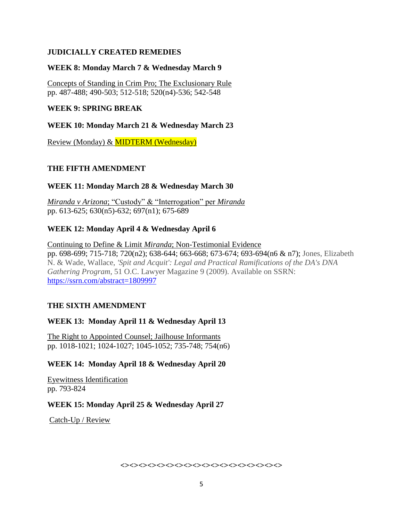# **JUDICIALLY CREATED REMEDIES**

# **WEEK 8: Monday March 7 & Wednesday March 9**

Concepts of Standing in Crim Pro; The Exclusionary Rule pp. 487-488; 490-503; 512-518; 520(n4)-536; 542-548

# **WEEK 9: SPRING BREAK**

# **WEEK 10: Monday March 21 & Wednesday March 23**

Review (Monday) & MIDTERM (Wednesday)

# **THE FIFTH AMENDMENT**

# **WEEK 11: Monday March 28 & Wednesday March 30**

*Miranda v Arizona*; "Custody" & "Interrogation" per *Miranda* pp. 613-625; 630(n5)-632; 697(n1); 675-689

# **WEEK 12: Monday April 4 & Wednesday April 6**

### Continuing to Define & Limit *Miranda*; Non-Testimonial Evidence pp. 698-699; 715-718; 720(n2); 638-644; 663-668; 673-674; 693-694(n6 & n7); Jones, Elizabeth N. & Wade, Wallace, *'Spit and Acquit': Legal and Practical Ramifications of the DA's DNA Gathering Program*, 51 O.C. Lawyer Magazine 9 (2009). Available on SSRN: <https://ssrn.com/abstract=1809997>

# **THE SIXTH AMENDMENT**

# **WEEK 13: Monday April 11 & Wednesday April 13**

The Right to Appointed Counsel; Jailhouse Informants pp. 1018-1021; 1024-1027; 1045-1052; 735-748; 754(n6)

# **WEEK 14: Monday April 18 & Wednesday April 20**

Eyewitness Identification pp. 793-824

# **WEEK 15: Monday April 25 & Wednesday April 27**

Catch-Up / Review